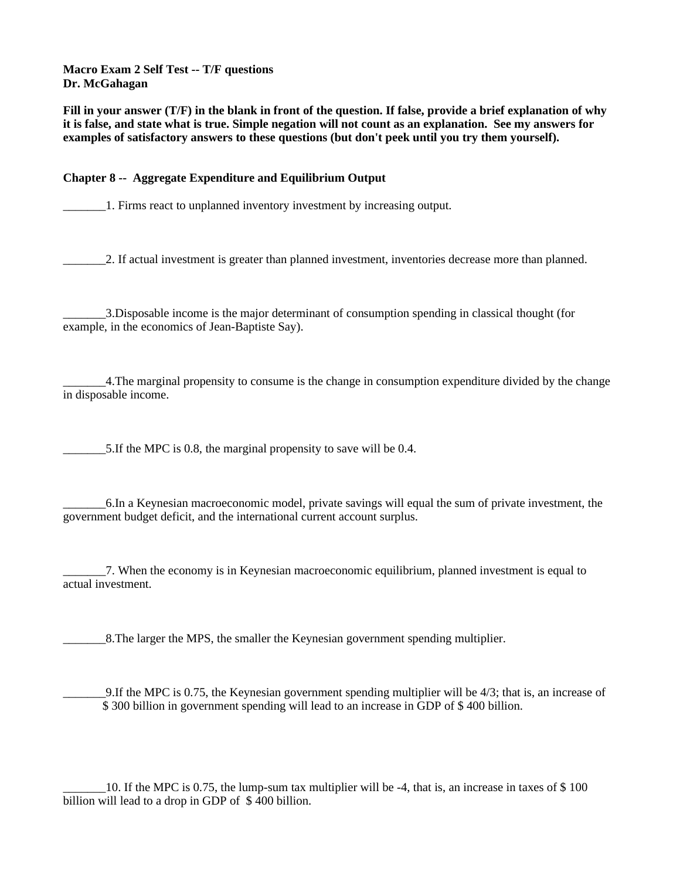**Macro Exam 2 Self Test -- T/F questions Dr. McGahagan**

**Fill in your answer (T/F) in the blank in front of the question. If false, provide a brief explanation of why it is false, and state what is true. Simple negation will not count as an explanation. See my answers for examples of satisfactory answers to these questions (but don't peek until you try them yourself).**

# **Chapter 8 -- Aggregate Expenditure and Equilibrium Output**

\_\_\_\_\_\_\_1. Firms react to unplanned inventory investment by increasing output.

\_\_\_\_\_\_\_2. If actual investment is greater than planned investment, inventories decrease more than planned.

\_\_\_\_\_\_\_3.Disposable income is the major determinant of consumption spending in classical thought (for example, in the economics of Jean-Baptiste Say).

\_\_\_\_\_\_\_4.The marginal propensity to consume is the change in consumption expenditure divided by the change in disposable income.

\_\_\_\_\_\_\_5.If the MPC is 0.8, the marginal propensity to save will be 0.4.

\_\_\_\_\_\_\_6.In a Keynesian macroeconomic model, private savings will equal the sum of private investment, the government budget deficit, and the international current account surplus.

\_\_\_\_\_\_\_7. When the economy is in Keynesian macroeconomic equilibrium, planned investment is equal to actual investment.

8. The larger the MPS, the smaller the Keynesian government spending multiplier.

\_\_\_\_\_\_\_9.If the MPC is 0.75, the Keynesian government spending multiplier will be 4/3; that is, an increase of \$ 300 billion in government spending will lead to an increase in GDP of \$ 400 billion.

\_\_\_\_\_\_\_10. If the MPC is 0.75, the lump-sum tax multiplier will be -4, that is, an increase in taxes of \$ 100 billion will lead to a drop in GDP of \$400 billion.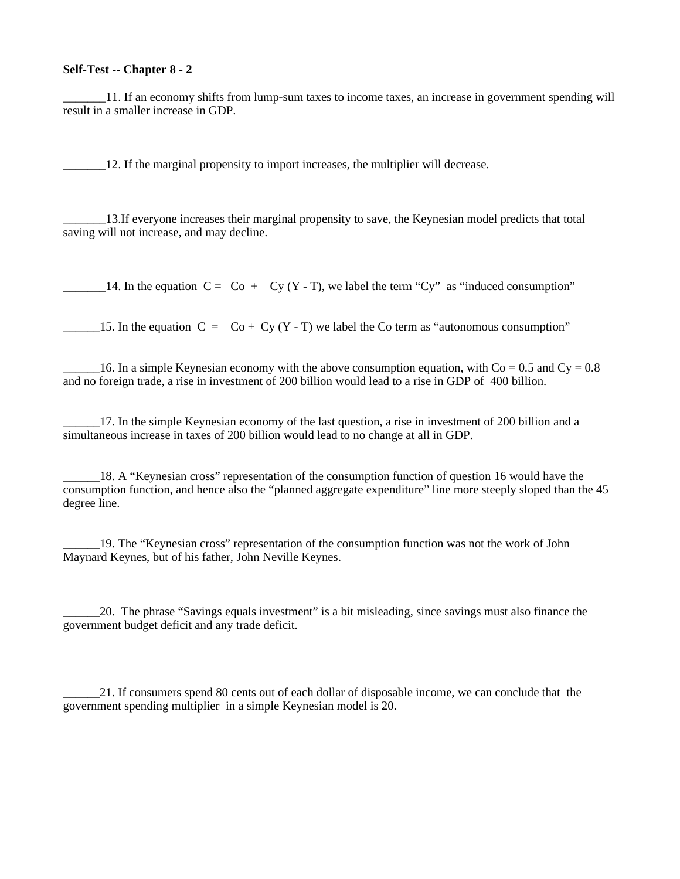#### **Self-Test -- Chapter 8 - 2**

\_\_\_\_\_\_\_11. If an economy shifts from lump-sum taxes to income taxes, an increase in government spending will result in a smaller increase in GDP.

\_\_\_\_\_\_\_12. If the marginal propensity to import increases, the multiplier will decrease.

\_\_\_\_\_\_\_13.If everyone increases their marginal propensity to save, the Keynesian model predicts that total saving will not increase, and may decline.

 $\Box$  14. In the equation  $C = Co + Cy (Y - T)$ , we label the term "Cy" as "induced consumption"

15. In the equation  $C = C_0 + Cy (Y - T)$  we label the Co term as "autonomous consumption"

16. In a simple Keynesian economy with the above consumption equation, with  $Co = 0.5$  and  $Cy = 0.8$ and no foreign trade, a rise in investment of 200 billion would lead to a rise in GDP of 400 billion.

\_\_\_\_\_\_17. In the simple Keynesian economy of the last question, a rise in investment of 200 billion and a simultaneous increase in taxes of 200 billion would lead to no change at all in GDP.

\_\_\_\_\_\_18. A "Keynesian cross" representation of the consumption function of question 16 would have the consumption function, and hence also the "planned aggregate expenditure" line more steeply sloped than the 45 degree line.

\_\_\_\_\_\_19. The "Keynesian cross" representation of the consumption function was not the work of John Maynard Keynes, but of his father, John Neville Keynes.

\_\_\_\_\_\_20. The phrase "Savings equals investment" is a bit misleading, since savings must also finance the government budget deficit and any trade deficit.

\_\_\_\_\_\_21. If consumers spend 80 cents out of each dollar of disposable income, we can conclude that the government spending multiplier in a simple Keynesian model is 20.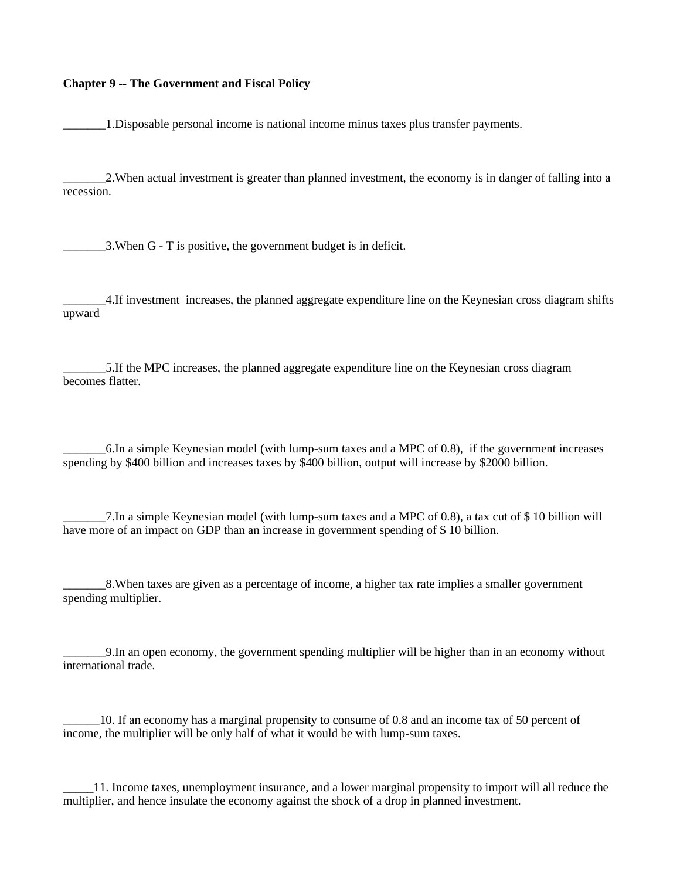#### **Chapter 9 -- The Government and Fiscal Policy**

\_\_\_\_\_\_\_1.Disposable personal income is national income minus taxes plus transfer payments.

\_\_\_\_\_\_\_2.When actual investment is greater than planned investment, the economy is in danger of falling into a recession.

\_\_\_\_\_\_\_3.When G - T is positive, the government budget is in deficit.

\_\_\_\_\_\_\_4.If investment increases, the planned aggregate expenditure line on the Keynesian cross diagram shifts upward

\_\_\_\_\_\_\_5.If the MPC increases, the planned aggregate expenditure line on the Keynesian cross diagram becomes flatter.

\_\_\_\_\_\_\_6.In a simple Keynesian model (with lump-sum taxes and a MPC of 0.8), if the government increases spending by \$400 billion and increases taxes by \$400 billion, output will increase by \$2000 billion.

\_\_\_\_\_\_\_7.In a simple Keynesian model (with lump-sum taxes and a MPC of 0.8), a tax cut of \$ 10 billion will have more of an impact on GDP than an increase in government spending of \$ 10 billion.

\_\_\_\_\_\_\_8.When taxes are given as a percentage of income, a higher tax rate implies a smaller government spending multiplier.

\_\_\_\_\_\_\_9.In an open economy, the government spending multiplier will be higher than in an economy without international trade.

\_\_\_\_\_\_10. If an economy has a marginal propensity to consume of 0.8 and an income tax of 50 percent of income, the multiplier will be only half of what it would be with lump-sum taxes.

\_\_\_\_\_11. Income taxes, unemployment insurance, and a lower marginal propensity to import will all reduce the multiplier, and hence insulate the economy against the shock of a drop in planned investment.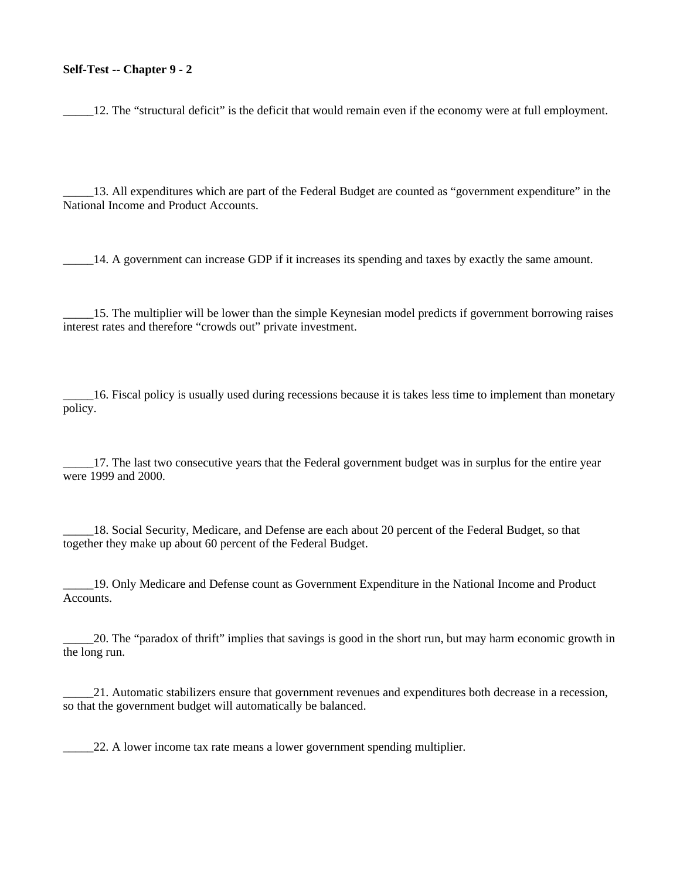### **Self-Test -- Chapter 9 - 2**

12. The "structural deficit" is the deficit that would remain even if the economy were at full employment.

\_\_\_\_\_13. All expenditures which are part of the Federal Budget are counted as "government expenditure" in the National Income and Product Accounts.

\_\_\_\_\_14. A government can increase GDP if it increases its spending and taxes by exactly the same amount.

\_\_\_\_\_15. The multiplier will be lower than the simple Keynesian model predicts if government borrowing raises interest rates and therefore "crowds out" private investment.

\_\_\_\_\_16. Fiscal policy is usually used during recessions because it is takes less time to implement than monetary policy.

\_\_\_\_\_17. The last two consecutive years that the Federal government budget was in surplus for the entire year were 1999 and 2000.

18. Social Security, Medicare, and Defense are each about 20 percent of the Federal Budget, so that together they make up about 60 percent of the Federal Budget.

\_\_\_\_\_19. Only Medicare and Defense count as Government Expenditure in the National Income and Product Accounts.

\_\_\_\_\_20. The "paradox of thrift" implies that savings is good in the short run, but may harm economic growth in the long run.

\_\_\_\_\_21. Automatic stabilizers ensure that government revenues and expenditures both decrease in a recession, so that the government budget will automatically be balanced.

22. A lower income tax rate means a lower government spending multiplier.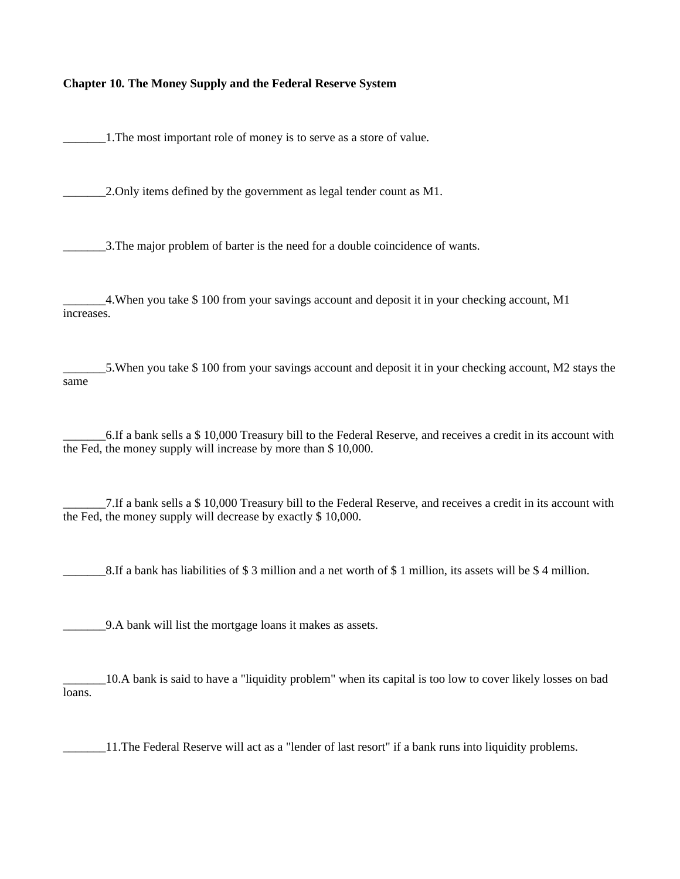## **Chapter 10. The Money Supply and the Federal Reserve System**

1. The most important role of money is to serve as a store of value.

\_\_\_\_\_\_\_2.Only items defined by the government as legal tender count as M1.

\_\_\_\_\_\_\_3.The major problem of barter is the need for a double coincidence of wants.

\_\_\_\_\_\_\_4.When you take \$ 100 from your savings account and deposit it in your checking account, M1 increases.

\_\_\_\_\_\_\_5.When you take \$ 100 from your savings account and deposit it in your checking account, M2 stays the same

\_\_\_\_\_\_\_6.If a bank sells a \$ 10,000 Treasury bill to the Federal Reserve, and receives a credit in its account with the Fed, the money supply will increase by more than \$ 10,000.

\_\_\_\_\_\_\_7.If a bank sells a \$ 10,000 Treasury bill to the Federal Reserve, and receives a credit in its account with the Fed, the money supply will decrease by exactly \$ 10,000.

 $_8$ .If a bank has liabilities of \$ 3 million and a net worth of \$ 1 million, its assets will be \$ 4 million.

\_\_\_\_\_\_\_9.A bank will list the mortgage loans it makes as assets.

\_\_\_\_\_\_\_10.A bank is said to have a "liquidity problem" when its capital is too low to cover likely losses on bad loans.

\_\_\_\_\_\_\_11.The Federal Reserve will act as a "lender of last resort" if a bank runs into liquidity problems.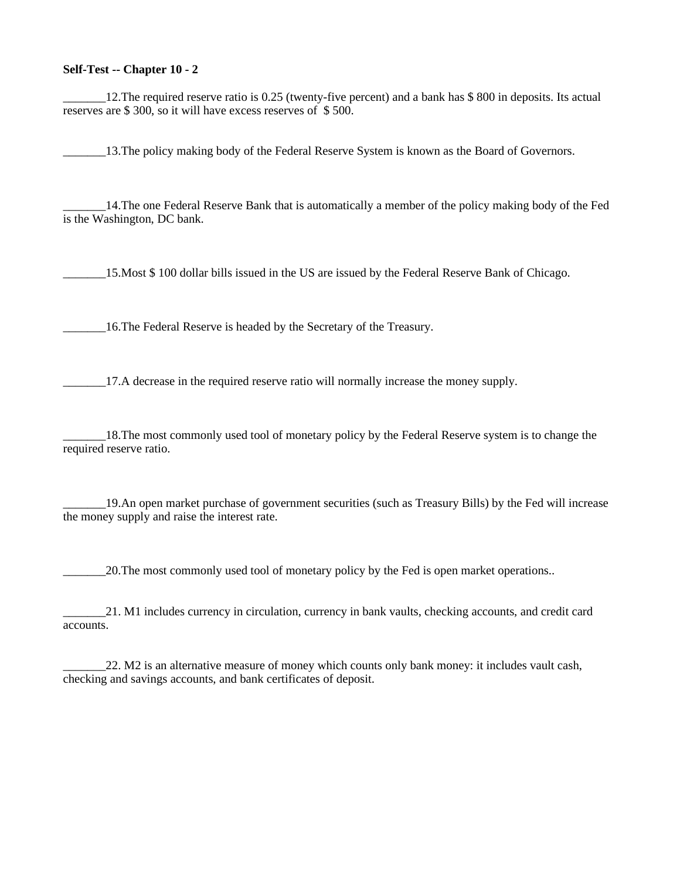### **Self-Test -- Chapter 10 - 2**

\_\_\_\_\_\_\_12.The required reserve ratio is 0.25 (twenty-five percent) and a bank has \$ 800 in deposits. Its actual reserves are \$ 300, so it will have excess reserves of \$ 500.

13. The policy making body of the Federal Reserve System is known as the Board of Governors.

\_\_\_\_\_\_\_14.The one Federal Reserve Bank that is automatically a member of the policy making body of the Fed is the Washington, DC bank.

\_\_\_\_\_\_\_15.Most \$ 100 dollar bills issued in the US are issued by the Federal Reserve Bank of Chicago.

\_\_\_\_\_\_\_16.The Federal Reserve is headed by the Secretary of the Treasury.

17.A decrease in the required reserve ratio will normally increase the money supply.

\_\_\_\_\_\_\_18.The most commonly used tool of monetary policy by the Federal Reserve system is to change the required reserve ratio.

\_\_\_\_\_\_\_19.An open market purchase of government securities (such as Treasury Bills) by the Fed will increase the money supply and raise the interest rate.

\_\_\_\_\_\_\_20.The most commonly used tool of monetary policy by the Fed is open market operations..

\_\_\_\_\_\_\_21. M1 includes currency in circulation, currency in bank vaults, checking accounts, and credit card accounts.

\_\_\_\_\_\_\_22. M2 is an alternative measure of money which counts only bank money: it includes vault cash, checking and savings accounts, and bank certificates of deposit.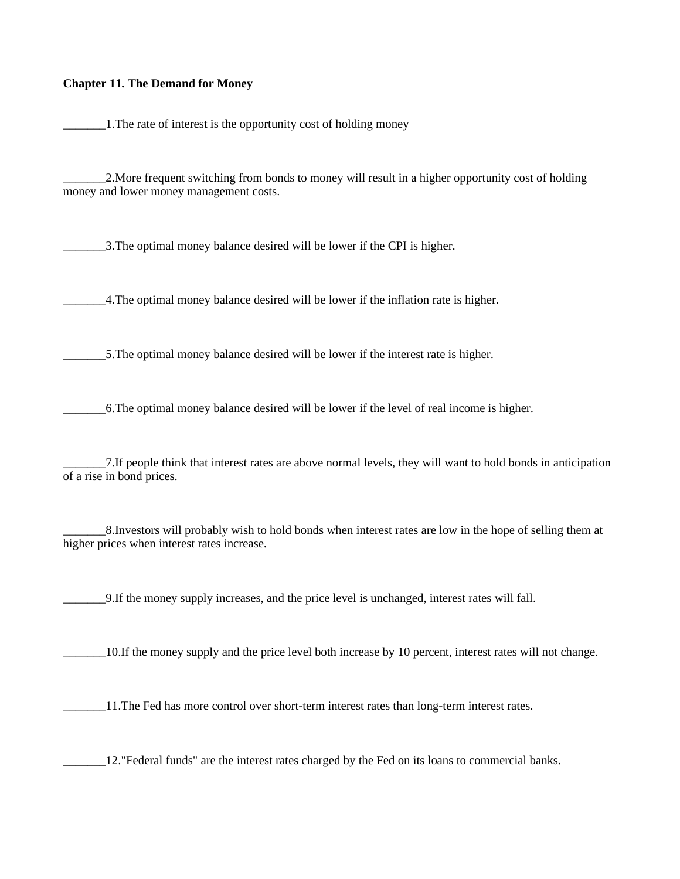## **Chapter 11. The Demand for Money**

1. The rate of interest is the opportunity cost of holding money

\_\_\_\_\_\_\_2.More frequent switching from bonds to money will result in a higher opportunity cost of holding money and lower money management costs.

\_\_\_\_\_\_\_3.The optimal money balance desired will be lower if the CPI is higher.

\_\_\_\_\_\_\_4.The optimal money balance desired will be lower if the inflation rate is higher.

\_\_\_\_\_\_\_5.The optimal money balance desired will be lower if the interest rate is higher.

\_\_\_\_\_\_\_6.The optimal money balance desired will be lower if the level of real income is higher.

\_\_\_\_\_\_\_7.If people think that interest rates are above normal levels, they will want to hold bonds in anticipation of a rise in bond prices.

\_\_\_\_\_\_\_8.Investors will probably wish to hold bonds when interest rates are low in the hope of selling them at higher prices when interest rates increase.

\_\_\_\_\_\_\_9.If the money supply increases, and the price level is unchanged, interest rates will fall.

\_\_\_\_\_\_\_10.If the money supply and the price level both increase by 10 percent, interest rates will not change.

11. The Fed has more control over short-term interest rates than long-term interest rates.

\_\_\_\_\_\_\_12."Federal funds" are the interest rates charged by the Fed on its loans to commercial banks.